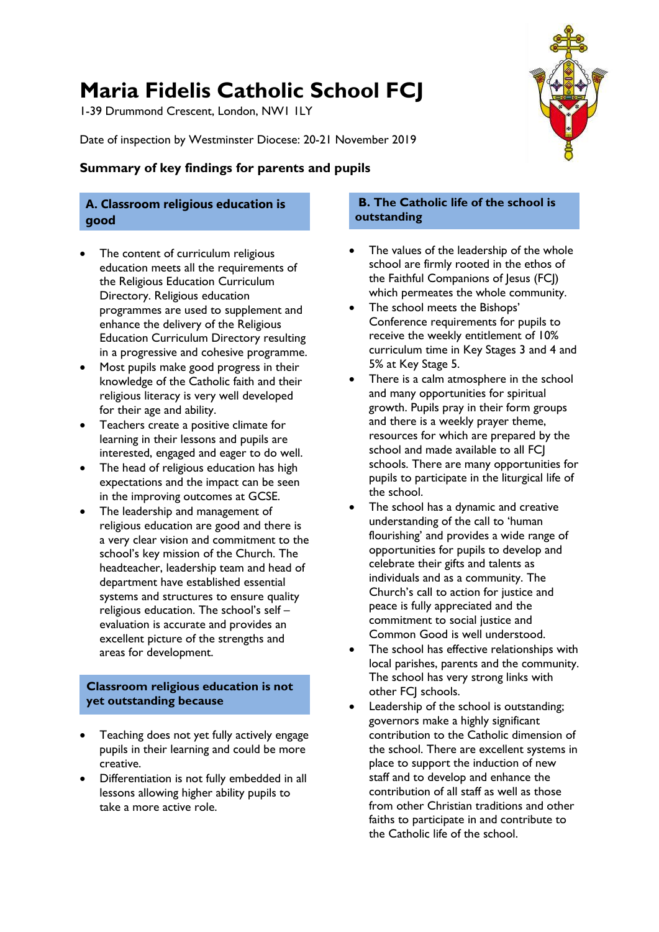# **Maria Fidelis Catholic School FCJ**

1-39 Drummond Crescent, London, NW1 1LY

Date of inspection by Westminster Diocese: 20-21 November 2019

## **Summary of key findings for parents and pupils**

## **A. Classroom religious education is good**

- The content of curriculum religious education meets all the requirements of the Religious Education Curriculum Directory. Religious education programmes are used to supplement and enhance the delivery of the Religious Education Curriculum Directory resulting in a progressive and cohesive programme.
- Most pupils make good progress in their knowledge of the Catholic faith and their religious literacy is very well developed for their age and ability.
- Teachers create a positive climate for learning in their lessons and pupils are interested, engaged and eager to do well.
- The head of religious education has high expectations and the impact can be seen in the improving outcomes at GCSE.
- The leadership and management of religious education are good and there is a very clear vision and commitment to the school's key mission of the Church. The headteacher, leadership team and head of department have established essential systems and structures to ensure quality religious education. The school's self – evaluation is accurate and provides an excellent picture of the strengths and areas for development.

### **Classroom religious education is not yet outstanding because**

- Teaching does not yet fully actively engage pupils in their learning and could be more creative.
- Differentiation is not fully embedded in all lessons allowing higher ability pupils to take a more active role.

### **B. The Catholic life of the school is outstanding**

- The values of the leadership of the whole school are firmly rooted in the ethos of the Faithful Companions of Jesus (FCJ) which permeates the whole community.
- The school meets the Bishops' Conference requirements for pupils to receive the weekly entitlement of 10% curriculum time in Key Stages 3 and 4 and 5% at Key Stage 5.
- There is a calm atmosphere in the school and many opportunities for spiritual growth. Pupils pray in their form groups and there is a weekly prayer theme, resources for which are prepared by the school and made available to all FCI schools. There are many opportunities for pupils to participate in the liturgical life of the school.
- The school has a dynamic and creative understanding of the call to 'human flourishing' and provides a wide range of opportunities for pupils to develop and celebrate their gifts and talents as individuals and as a community. The Church's call to action for justice and peace is fully appreciated and the commitment to social justice and Common Good is well understood.
- The school has effective relationships with local parishes, parents and the community. The school has very strong links with other FCJ schools.
- Leadership of the school is outstanding; governors make a highly significant contribution to the Catholic dimension of the school. There are excellent systems in place to support the induction of new staff and to develop and enhance the contribution of all staff as well as those from other Christian traditions and other faiths to participate in and contribute to the Catholic life of the school.

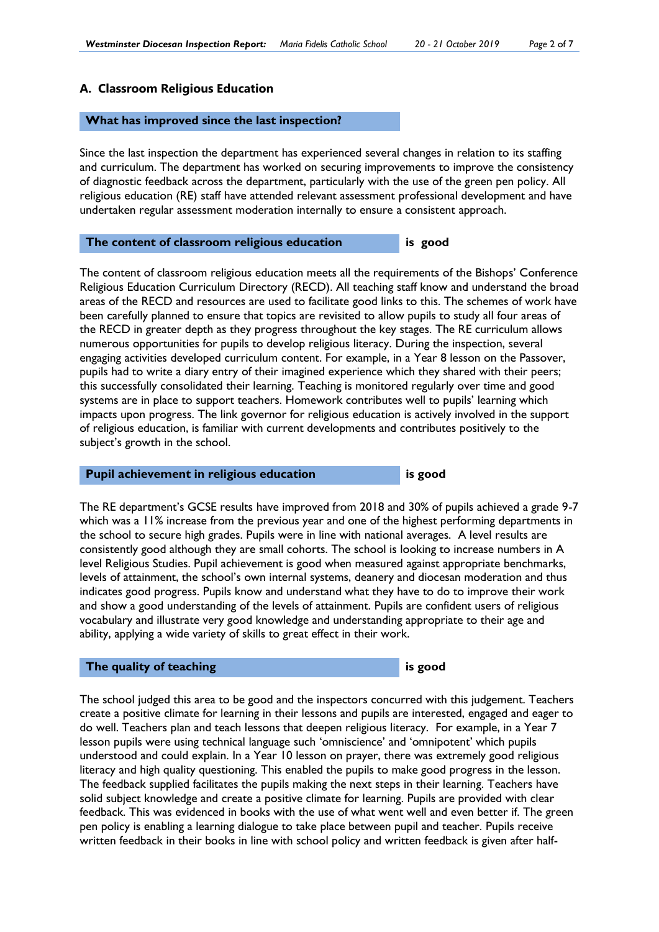#### **A. Classroom Religious Education**

#### **What has improved since the last inspection?**

Since the last inspection the department has experienced several changes in relation to its staffing and curriculum. The department has worked on securing improvements to improve the consistency of diagnostic feedback across the department, particularly with the use of the green pen policy. All religious education (RE) staff have attended relevant assessment professional development and have undertaken regular assessment moderation internally to ensure a consistent approach.

#### **The content of classroom religious education is good**

The content of classroom religious education meets all the requirements of the Bishops' Conference Religious Education Curriculum Directory (RECD). All teaching staff know and understand the broad areas of the RECD and resources are used to facilitate good links to this. The schemes of work have been carefully planned to ensure that topics are revisited to allow pupils to study all four areas of the RECD in greater depth as they progress throughout the key stages. The RE curriculum allows numerous opportunities for pupils to develop religious literacy. During the inspection, several engaging activities developed curriculum content. For example, in a Year 8 lesson on the Passover, pupils had to write a diary entry of their imagined experience which they shared with their peers; this successfully consolidated their learning. Teaching is monitored regularly over time and good systems are in place to support teachers. Homework contributes well to pupils' learning which impacts upon progress. The link governor for religious education is actively involved in the support of religious education, is familiar with current developments and contributes positively to the subject's growth in the school.

#### **Pupil achievement in religious education is good**

The RE department's GCSE results have improved from 2018 and 30% of pupils achieved a grade 9-7 which was a 11% increase from the previous year and one of the highest performing departments in the school to secure high grades. Pupils were in line with national averages. A level results are consistently good although they are small cohorts. The school is looking to increase numbers in A level Religious Studies. Pupil achievement is good when measured against appropriate benchmarks, levels of attainment, the school's own internal systems, deanery and diocesan moderation and thus indicates good progress. Pupils know and understand what they have to do to improve their work and show a good understanding of the levels of attainment. Pupils are confident users of religious vocabulary and illustrate very good knowledge and understanding appropriate to their age and ability, applying a wide variety of skills to great effect in their work.

#### **The quality of teaching is good** is good

The school judged this area to be good and the inspectors concurred with this judgement. Teachers create a positive climate for learning in their lessons and pupils are interested, engaged and eager to do well. Teachers plan and teach lessons that deepen religious literacy. For example, in a Year 7 lesson pupils were using technical language such 'omniscience' and 'omnipotent' which pupils understood and could explain. In a Year 10 lesson on prayer, there was extremely good religious literacy and high quality questioning. This enabled the pupils to make good progress in the lesson. The feedback supplied facilitates the pupils making the next steps in their learning. Teachers have solid subject knowledge and create a positive climate for learning. Pupils are provided with clear feedback. This was evidenced in books with the use of what went well and even better if. The green pen policy is enabling a learning dialogue to take place between pupil and teacher. Pupils receive written feedback in their books in line with school policy and written feedback is given after half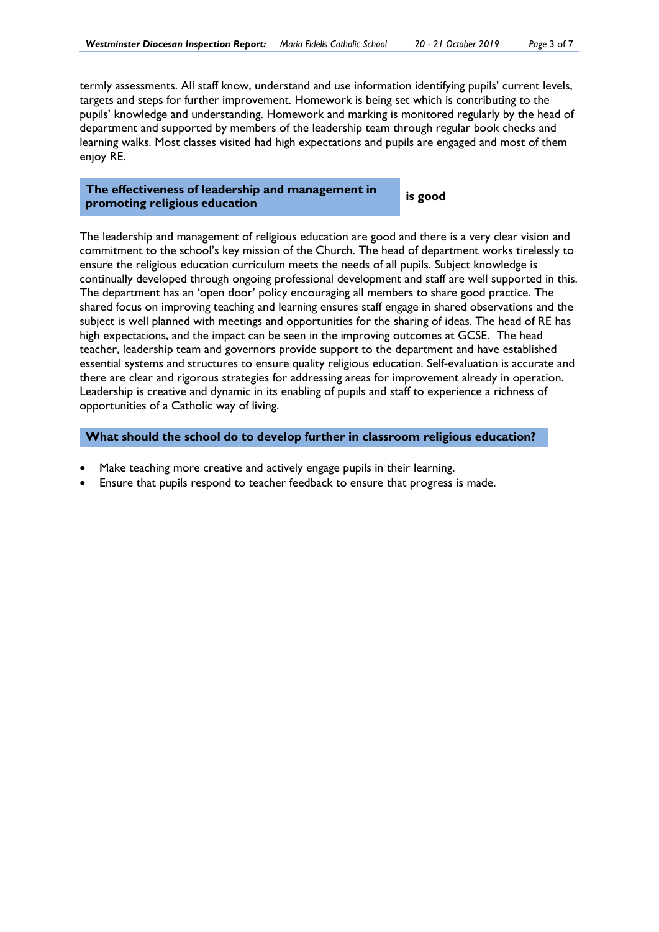termly assessments. All staff know, understand and use information identifying pupils' current levels, targets and steps for further improvement. Homework is being set which is contributing to the pupils' knowledge and understanding. Homework and marking is monitored regularly by the head of department and supported by members of the leadership team through regular book checks and learning walks. Most classes visited had high expectations and pupils are engaged and most of them enjoy RE.

#### **The effectiveness of leadership and management in promoting religious education is good**

The leadership and management of religious education are good and there is a very clear vision and commitment to the school's key mission of the Church. The head of department works tirelessly to ensure the religious education curriculum meets the needs of all pupils. Subject knowledge is continually developed through ongoing professional development and staff are well supported in this. The department has an 'open door' policy encouraging all members to share good practice. The shared focus on improving teaching and learning ensures staff engage in shared observations and the subject is well planned with meetings and opportunities for the sharing of ideas. The head of RE has high expectations, and the impact can be seen in the improving outcomes at GCSE. The head teacher, leadership team and governors provide support to the department and have established essential systems and structures to ensure quality religious education. Self-evaluation is accurate and there are clear and rigorous strategies for addressing areas for improvement already in operation. Leadership is creative and dynamic in its enabling of pupils and staff to experience a richness of opportunities of a Catholic way of living.

**What should the school do to develop further in classroom religious education?** 

- Make teaching more creative and actively engage pupils in their learning.
- Ensure that pupils respond to teacher feedback to ensure that progress is made.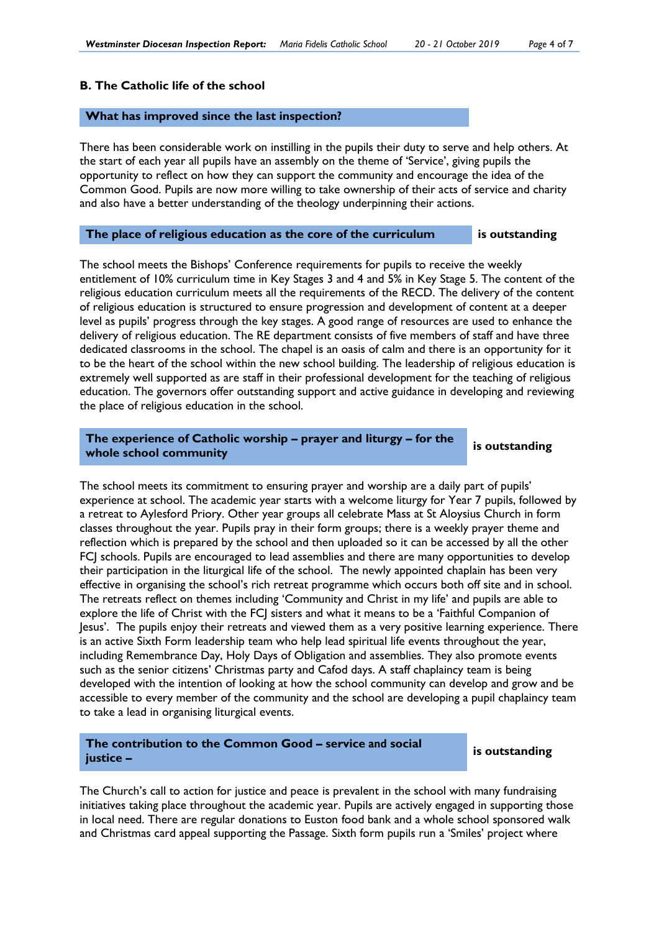#### **B. The Catholic life of the school**

#### **What has improved since the last inspection?**

There has been considerable work on instilling in the pupils their duty to serve and help others. At the start of each year all pupils have an assembly on the theme of 'Service', giving pupils the opportunity to reflect on how they can support the community and encourage the idea of the Common Good. Pupils are now more willing to take ownership of their acts of service and charity and also have a better understanding of the theology underpinning their actions.

#### **The place of religious education as the core of the curriculum is outstanding**

The school meets the Bishops' Conference requirements for pupils to receive the weekly entitlement of 10% curriculum time in Key Stages 3 and 4 and 5% in Key Stage 5. The content of the religious education curriculum meets all the requirements of the RECD. The delivery of the content of religious education is structured to ensure progression and development of content at a deeper level as pupils' progress through the key stages. A good range of resources are used to enhance the delivery of religious education. The RE department consists of five members of staff and have three dedicated classrooms in the school. The chapel is an oasis of calm and there is an opportunity for it to be the heart of the school within the new school building. The leadership of religious education is extremely well supported as are staff in their professional development for the teaching of religious education. The governors offer outstanding support and active guidance in developing and reviewing the place of religious education in the school.

# **The experience of Catholic worship – prayer and liturgy – for the whole school community is outstanding**

The school meets its commitment to ensuring prayer and worship are a daily part of pupils' experience at school. The academic year starts with a welcome liturgy for Year 7 pupils, followed by a retreat to Aylesford Priory. Other year groups all celebrate Mass at St Aloysius Church in form classes throughout the year. Pupils pray in their form groups; there is a weekly prayer theme and reflection which is prepared by the school and then uploaded so it can be accessed by all the other FCJ schools. Pupils are encouraged to lead assemblies and there are many opportunities to develop their participation in the liturgical life of the school. The newly appointed chaplain has been very effective in organising the school's rich retreat programme which occurs both off site and in school. The retreats reflect on themes including 'Community and Christ in my life' and pupils are able to explore the life of Christ with the FCJ sisters and what it means to be a 'Faithful Companion of Jesus'. The pupils enjoy their retreats and viewed them as a very positive learning experience. There is an active Sixth Form leadership team who help lead spiritual life events throughout the year, including Remembrance Day, Holy Days of Obligation and assemblies. They also promote events such as the senior citizens' Christmas party and Cafod days. A staff chaplaincy team is being developed with the intention of looking at how the school community can develop and grow and be accessible to every member of the community and the school are developing a pupil chaplaincy team to take a lead in organising liturgical events.

#### **The contribution to the Common Good – service and social justice –**

#### **is outstanding**

The Church's call to action for justice and peace is prevalent in the school with many fundraising initiatives taking place throughout the academic year. Pupils are actively engaged in supporting those in local need. There are regular donations to Euston food bank and a whole school sponsored walk and Christmas card appeal supporting the Passage. Sixth form pupils run a 'Smiles' project where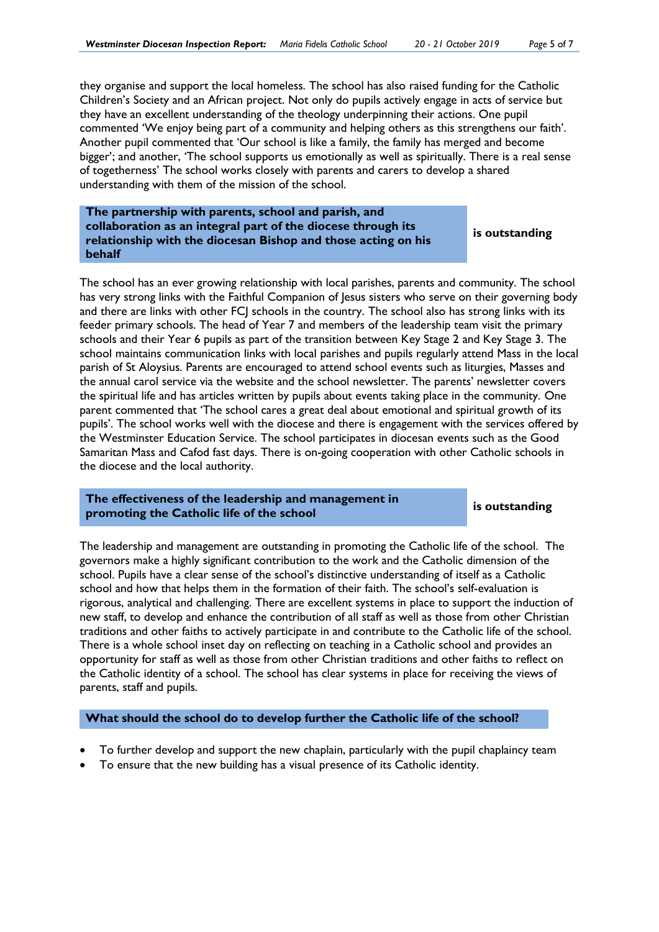they organise and support the local homeless. The school has also raised funding for the Catholic Children's Society and an African project. Not only do pupils actively engage in acts of service but they have an excellent understanding of the theology underpinning their actions. One pupil commented 'We enjoy being part of a community and helping others as this strengthens our faith'. Another pupil commented that 'Our school is like a family, the family has merged and become bigger'; and another, 'The school supports us emotionally as well as spiritually. There is a real sense of togetherness' The school works closely with parents and carers to develop a shared understanding with them of the mission of the school.

**The partnership with parents, school and parish, and collaboration as an integral part of the diocese through its relationship with the diocesan Bishop and those acting on his behalf** 

**is outstanding**

The school has an ever growing relationship with local parishes, parents and community. The school has very strong links with the Faithful Companion of Jesus sisters who serve on their governing body and there are links with other FCJ schools in the country. The school also has strong links with its feeder primary schools. The head of Year 7 and members of the leadership team visit the primary schools and their Year 6 pupils as part of the transition between Key Stage 2 and Key Stage 3. The school maintains communication links with local parishes and pupils regularly attend Mass in the local parish of St Aloysius. Parents are encouraged to attend school events such as liturgies, Masses and the annual carol service via the website and the school newsletter. The parents' newsletter covers the spiritual life and has articles written by pupils about events taking place in the community. One parent commented that 'The school cares a great deal about emotional and spiritual growth of its pupils'. The school works well with the diocese and there is engagement with the services offered by the Westminster Education Service. The school participates in diocesan events such as the Good Samaritan Mass and Cafod fast days. There is on-going cooperation with other Catholic schools in the diocese and the local authority.

#### **The effectiveness of the leadership and management in promoting the Catholic life of the school is outstanding**

The leadership and management are outstanding in promoting the Catholic life of the school. The governors make a highly significant contribution to the work and the Catholic dimension of the school. Pupils have a clear sense of the school's distinctive understanding of itself as a Catholic school and how that helps them in the formation of their faith. The school's self-evaluation is rigorous, analytical and challenging. There are excellent systems in place to support the induction of new staff, to develop and enhance the contribution of all staff as well as those from other Christian traditions and other faiths to actively participate in and contribute to the Catholic life of the school. There is a whole school inset day on reflecting on teaching in a Catholic school and provides an opportunity for staff as well as those from other Christian traditions and other faiths to reflect on the Catholic identity of a school. The school has clear systems in place for receiving the views of parents, staff and pupils.

#### **What should the school do to develop further the Catholic life of the school?**

- To further develop and support the new chaplain, particularly with the pupil chaplaincy team
- To ensure that the new building has a visual presence of its Catholic identity.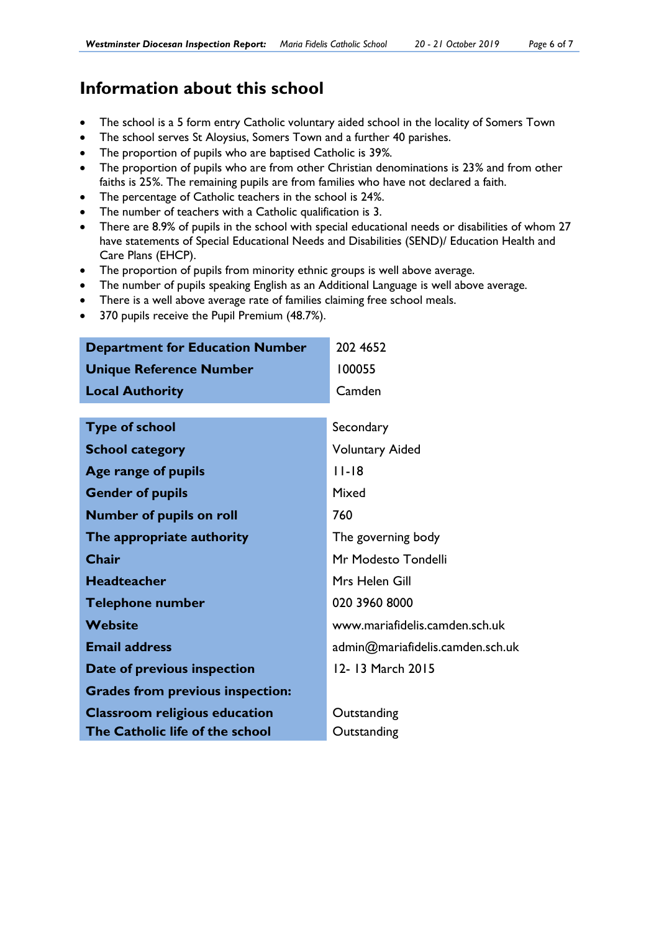# **Information about this school**

- The school is a 5 form entry Catholic voluntary aided school in the locality of Somers Town
- The school serves St Aloysius, Somers Town and a further 40 parishes.
- The proportion of pupils who are baptised Catholic is 39*%.*
- The proportion of pupils who are from other Christian denominations is 23*%* and from other faiths is 25*%*. The remaining pupils are from families who have not declared a faith.
- The percentage of Catholic teachers in the school is 24*%*.
- The number of teachers with a Catholic qualification is 3.
- There are 8.9% of pupils in the school with special educational needs or disabilities of whom 27 have statements of Special Educational Needs and Disabilities (SEND)/ Education Health and Care Plans (EHCP).
- The proportion of pupils from minority ethnic groups is well above average.
- The number of pupils speaking English as an Additional Language is well above average.
- There is a well above average rate of families claiming free school meals.
- 370 pupils receive the Pupil Premium (48.7%).

| <b>Department for Education Number</b>  | 202 4652                         |
|-----------------------------------------|----------------------------------|
| <b>Unique Reference Number</b>          | 100055                           |
| <b>Local Authority</b>                  | Camden                           |
|                                         |                                  |
| <b>Type of school</b>                   | Secondary                        |
| <b>School category</b>                  | <b>Voluntary Aided</b>           |
| Age range of pupils                     | $11-18$                          |
| <b>Gender of pupils</b>                 | Mixed                            |
| <b>Number of pupils on roll</b>         | 760                              |
| The appropriate authority               | The governing body               |
| Chair                                   | Mr Modesto Tondelli              |
| <b>Headteacher</b>                      | Mrs Helen Gill                   |
| <b>Telephone number</b>                 | 020 3960 8000                    |
| <b>Website</b>                          | www.mariafidelis.camden.sch.uk   |
| <b>Email address</b>                    | admin@mariafidelis.camden.sch.uk |
| Date of previous inspection             | 12-13 March 2015                 |
| <b>Grades from previous inspection:</b> |                                  |
| <b>Classroom religious education</b>    | Outstanding                      |
| The Catholic life of the school         | Outstanding                      |